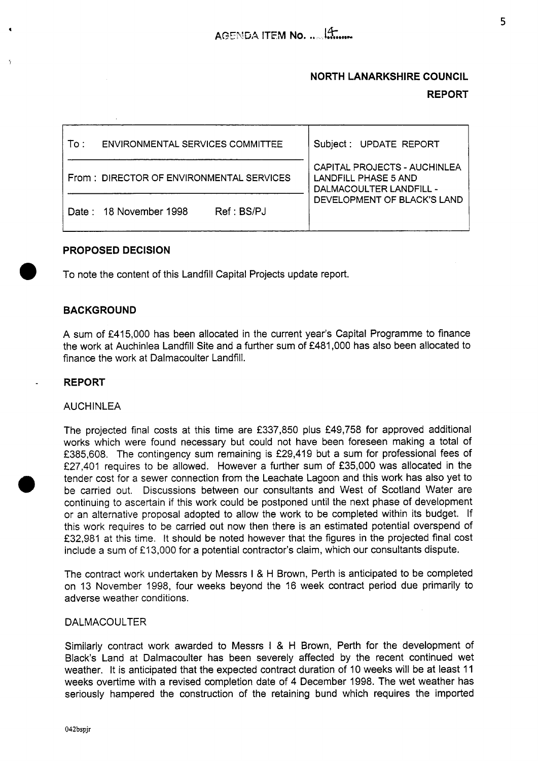# **NORTH LANARKSHIRE COUNCIL REPORT**

| To : | ENVIRONMENTAL SERVICES COMMITTEE         | Subject: UPDATE REPORT                                                          |
|------|------------------------------------------|---------------------------------------------------------------------------------|
|      | From: DIRECTOR OF ENVIRONMENTAL SERVICES | CAPITAL PROJECTS - AUCHINLEA<br>LANDFILL PHASE 5 AND<br>DALMACOULTER LANDFILL - |
|      | Ref : BSP.1<br>Date: 18 November 1998    | DEVELOPMENT OF BLACK'S LAND                                                     |

# **PROPOSED DECISION**

To note the content of this Landfill Capital Projects update report.

# **BACKGROUND**

A sum of **€415,000** has been allocated in the current year's Capital Programme to finance the work at Auchinlea Landfill Site and a further sum of **f481,OOO** has also been allocated to finance the work at Dalmacoulter Landfill.

## **REPORT**

*0* 

### **AUCHINLEA**

The projected final costs at this time are **f337,850** plus **f49,758** for approved additional works which were found necessary but could not have been foreseen making a total of **€385,608.** The contingency sum remaining is **f29,419** but a sum for professional fees of **f27,401** requires to be allowed. However a further sum of **€35,000** was allocated in the tender cost for a sewer connection from the Leachate Lagoon and this work has also yet to be carried out. Discussions between our consultants and West of Scotland Water are continuing to ascertain if this work could be postponed until the next phase of development or an alternative proposal adopted to allow the work to be completed within its budget. If this work requires to be carried out now then there is an estimated potential overspend of **f32,981** at this time. It should be noted however that the figures in the projected final cost include a sum of €1 **3,000** for a potential contractor's claim, which our consultants dispute.

The contract work undertaken by Messrs I & H Brown, Perth is anticipated to be completed on **13** November **1998,** four weeks beyond the 16 week contract period due primarily to adverse weather conditions.

#### DALMACOULTER

Similarly contract work awarded to Messrs I & H Brown, Perth for the development of Black's Land at Dalmacoulter has been severely affected by the recent continued wet weather. It is anticipated that the expected contract duration of **10** weeks will be at least **<sup>11</sup>** weeks overtime with a revised completion date of **4** December **1998.** The wet weather has seriously hampered the construction of the retaining bund which requires the imported